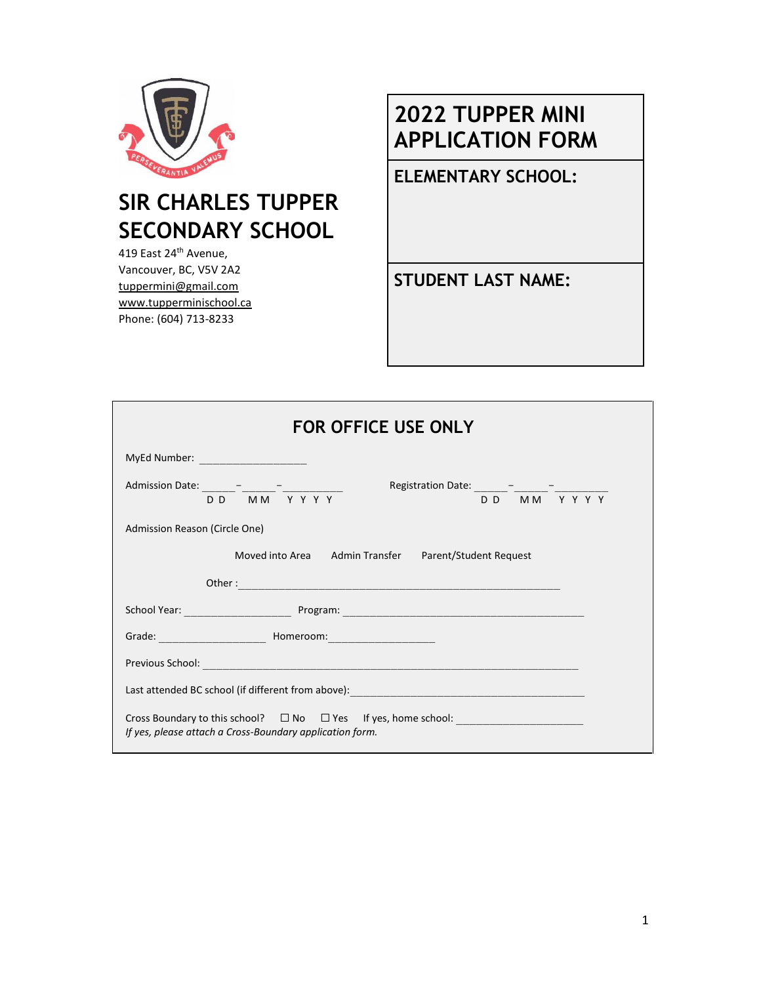

# **SIR CHARLES TUPPER SECONDARY SCHOOL**

419 East 24<sup>th</sup> Avenue, Vancouver, BC, V5V 2A2 tuppermini@gmail.com www.tupperminischool.ca Phone: (604) 713-8233

# **2022 TUPPER MINI APPLICATION FORM**

**ELEMENTARY SCHOOL:**

**STUDENT LAST NAME:**

| <b>FOR OFFICE USE ONLY</b>                                                                                                                                               |  |  |
|--------------------------------------------------------------------------------------------------------------------------------------------------------------------------|--|--|
| MyEd Number: _______________________                                                                                                                                     |  |  |
| Admission Date: $\frac{1}{\sqrt{D}}\frac{1}{\sqrt{M}}\frac{1}{\sqrt{M}}\frac{1}{\sqrt{M}}$<br>Registration Date: $\frac{1}{D D} - \frac{1}{M M} - \frac{1}{Y Y Y Y Y Y}$ |  |  |
| Admission Reason (Circle One)                                                                                                                                            |  |  |
| Moved into Area Admin Transfer Parent/Student Request                                                                                                                    |  |  |
|                                                                                                                                                                          |  |  |
|                                                                                                                                                                          |  |  |
|                                                                                                                                                                          |  |  |
|                                                                                                                                                                          |  |  |
|                                                                                                                                                                          |  |  |
| Cross Boundary to this school? □ No □ Yes If yes, home school: _________________<br>If yes, please attach a Cross-Boundary application form.                             |  |  |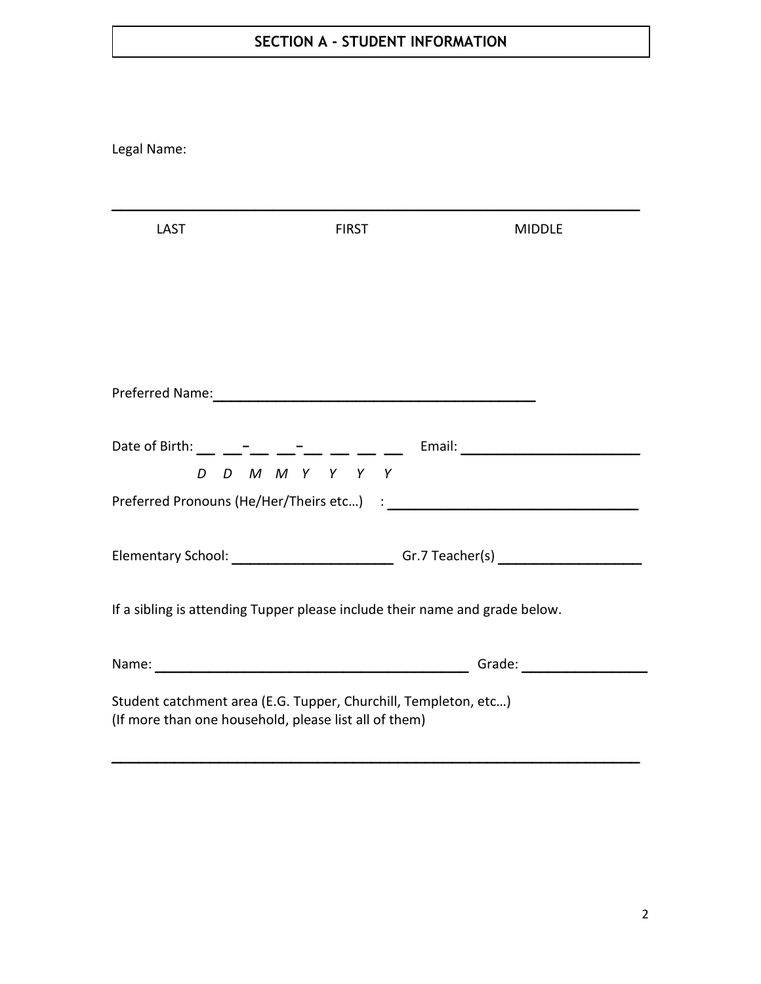## **SECTION A - STUDENT INFORMATION**

| Legal Name:                                                                                                              |                 |                                                                                                         |
|--------------------------------------------------------------------------------------------------------------------------|-----------------|---------------------------------------------------------------------------------------------------------|
| <b>LAST</b>                                                                                                              | <b>FIRST</b>    | <b>MIDDLE</b>                                                                                           |
|                                                                                                                          |                 |                                                                                                         |
|                                                                                                                          | D D M M Y Y Y Y | Date of Birth: __ ___ <sup>_</sup> __ __ <sup>_</sup> __ __ __ __ __ Email: ___________________________ |
|                                                                                                                          |                 | Elementary School: _______________________________Gr.7 Teacher(s) _______________                       |
| If a sibling is attending Tupper please include their name and grade below.                                              |                 |                                                                                                         |
|                                                                                                                          |                 |                                                                                                         |
| Student catchment area (E.G. Tupper, Churchill, Templeton, etc)<br>(If more than one household, please list all of them) |                 |                                                                                                         |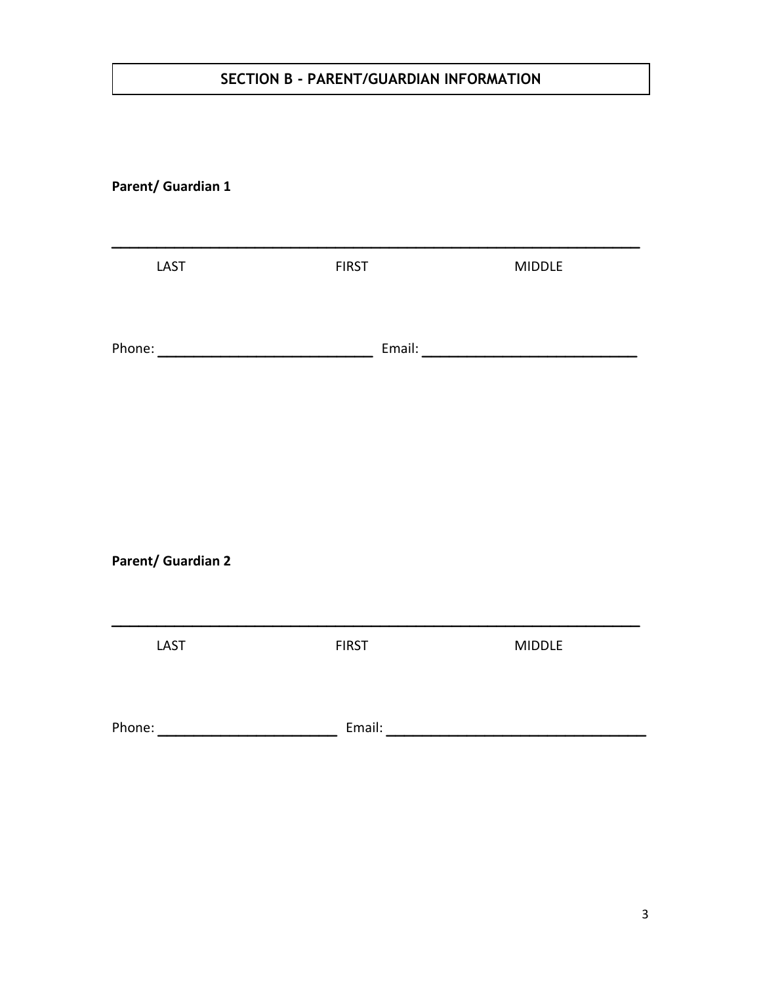### **SECTION B - PARENT/GUARDIAN INFORMATION**

#### **Parent/ Guardian 1**

| LAST                                                                                                                                                                                                                                 | <b>FIRST</b> | <b>MIDDLE</b> |
|--------------------------------------------------------------------------------------------------------------------------------------------------------------------------------------------------------------------------------------|--------------|---------------|
|                                                                                                                                                                                                                                      |              |               |
| <b>Parent/ Guardian 2</b>                                                                                                                                                                                                            |              |               |
| LAST                                                                                                                                                                                                                                 | <b>FIRST</b> | <b>MIDDLE</b> |
| Phone: <u>www.communications.com and the set of the set of the set of the set of the set of the set of the set of the set of the set of the set of the set of the set of the set of the set of the set of the set of the set of </u> |              |               |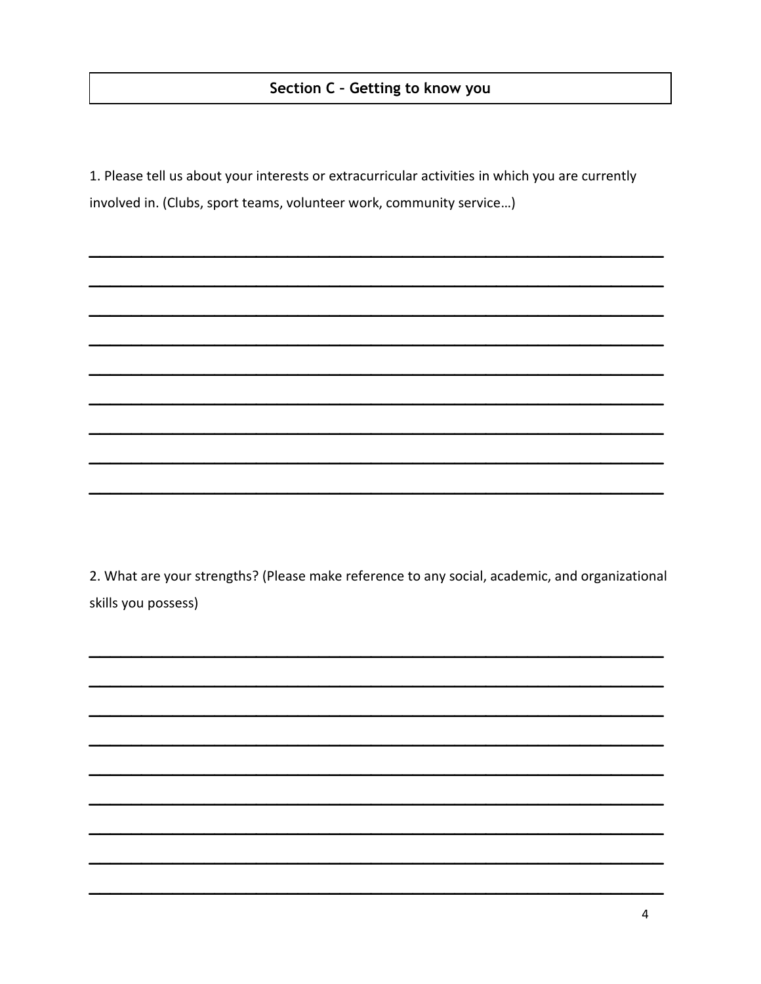1. Please tell us about your interests or extracurricular activities in which you are currently involved in. (Clubs, sport teams, volunteer work, community service...)

2. What are your strengths? (Please make reference to any social, academic, and organizational skills you possess)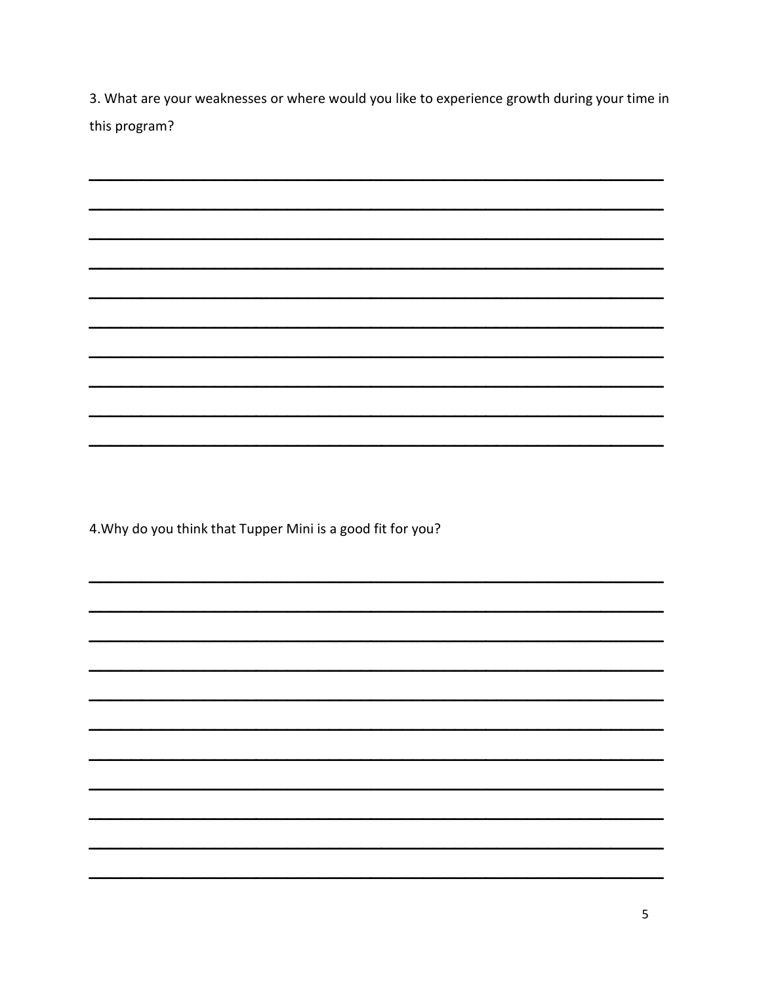3. What are your weaknesses or where would you like to experience growth during your time in this program?

4. Why do you think that Tupper Mini is a good fit for you?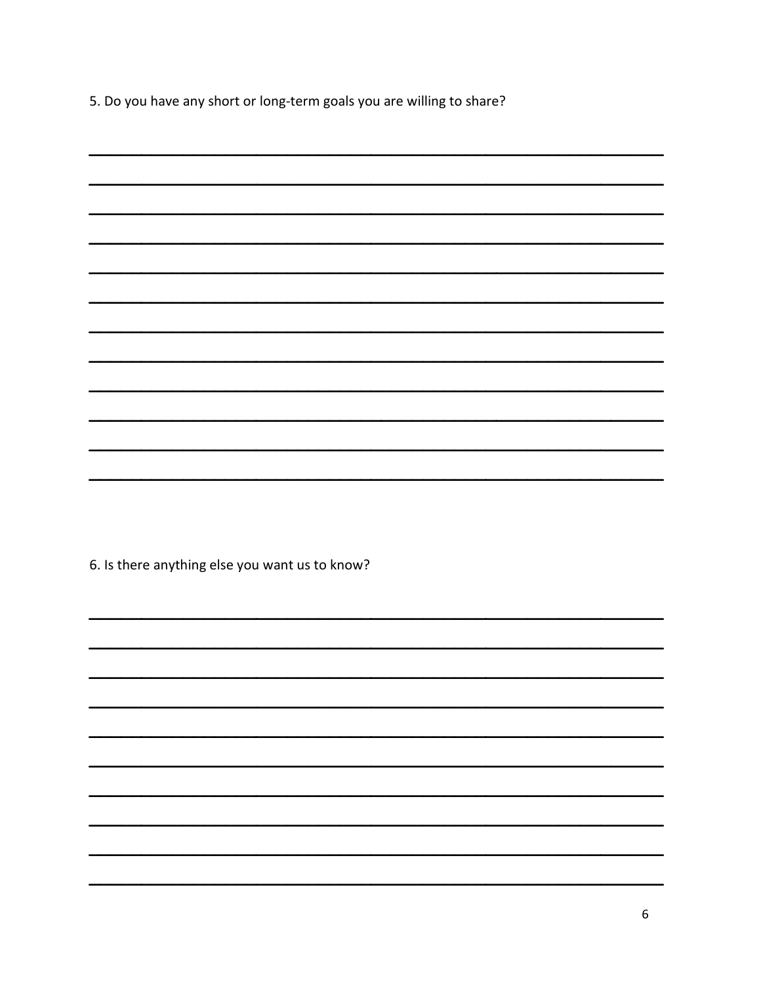5. Do you have any short or long-term goals you are willing to share?

| 6. Is there anything else you want us to know? |
|------------------------------------------------|
|                                                |
|                                                |
|                                                |
|                                                |
|                                                |
|                                                |
|                                                |
|                                                |
|                                                |
|                                                |
|                                                |
|                                                |
|                                                |
|                                                |
|                                                |
|                                                |